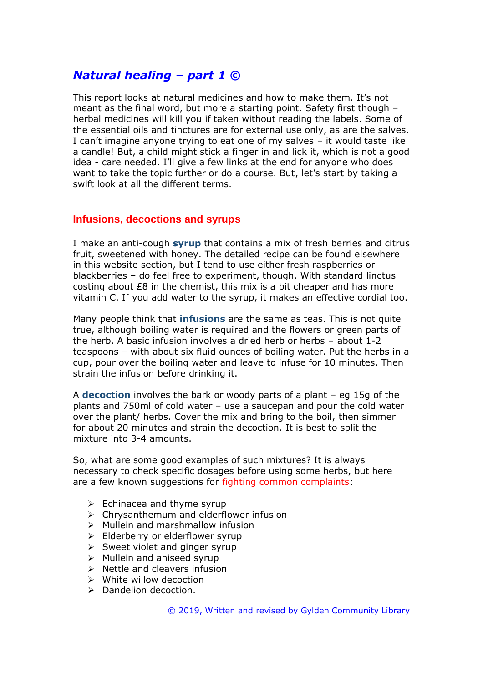# *Natural healing – part 1 ©*

This report looks at natural medicines and how to make them. It's not meant as the final word, but more a starting point. Safety first though – herbal medicines will kill you if taken without reading the labels. Some of the essential oils and tinctures are for external use only, as are the salves. I can't imagine anyone trying to eat one of my salves – it would taste like a candle! But, a child might stick a finger in and lick it, which is not a good idea - care needed. I'll give a few links at the end for anyone who does want to take the topic further or do a course. But, let's start by taking a swift look at all the different terms.

#### **Infusions, decoctions and syrups**

I make an anti-cough **syrup** that contains a mix of fresh berries and citrus fruit, sweetened with honey. The detailed recipe can be found elsewhere in this website section, but I tend to use either fresh raspberries or blackberries – do feel free to experiment, though. With standard linctus costing about £8 in the chemist, this mix is a bit cheaper and has more vitamin C. If you add water to the syrup, it makes an effective cordial too.

Many people think that **infusions** are the same as teas. This is not quite true, although boiling water is required and the flowers or green parts of the herb. A basic infusion involves a dried herb or herbs – about 1-2 teaspoons – with about six fluid ounces of boiling water. Put the herbs in a cup, pour over the boiling water and leave to infuse for 10 minutes. Then strain the infusion before drinking it.

A **decoction** involves the bark or woody parts of a plant – eg 15g of the plants and 750ml of cold water – use a saucepan and pour the cold water over the plant/ herbs. Cover the mix and bring to the boil, then simmer for about 20 minutes and strain the decoction. It is best to split the mixture into 3-4 amounts.

So, what are some good examples of such mixtures? It is always necessary to check specific dosages before using some herbs, but here are a few known suggestions for fighting common complaints:

- $\triangleright$  Echinacea and thyme syrup
- ➢ Chrysanthemum and elderflower infusion
- ➢ Mullein and marshmallow infusion
- ➢ Elderberry or elderflower syrup
- $\triangleright$  Sweet violet and ginger syrup
- ➢ Mullein and aniseed syrup
- $\triangleright$  Nettle and cleavers infusion
- $\triangleright$  White willow decoction
- ➢ Dandelion decoction.

© 2019, Written and revised by Gylden Community Library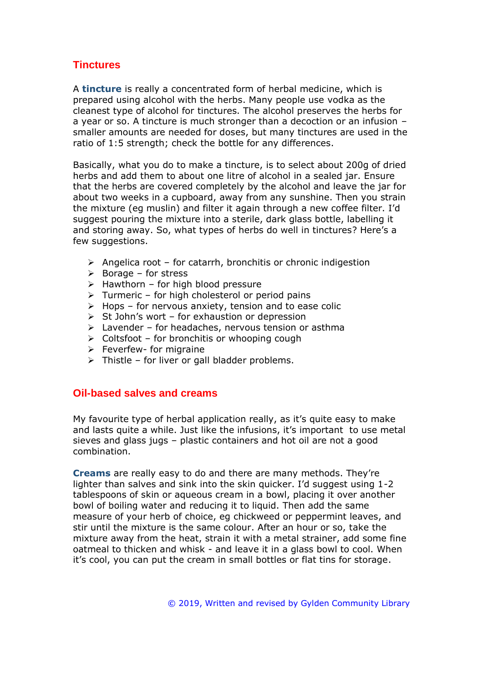## **Tinctures**

A **tincture** is really a concentrated form of herbal medicine, which is prepared using alcohol with the herbs. Many people use vodka as the cleanest type of alcohol for tinctures. The alcohol preserves the herbs for a year or so. A tincture is much stronger than a decoction or an infusion – smaller amounts are needed for doses, but many tinctures are used in the ratio of 1:5 strength; check the bottle for any differences.

Basically, what you do to make a tincture, is to select about 200g of dried herbs and add them to about one litre of alcohol in a sealed jar. Ensure that the herbs are covered completely by the alcohol and leave the jar for about two weeks in a cupboard, away from any sunshine. Then you strain the mixture (eg muslin) and filter it again through a new coffee filter. I'd suggest pouring the mixture into a sterile, dark glass bottle, labelling it and storing away. So, what types of herbs do well in tinctures? Here's a few suggestions.

- $\triangleright$  Angelica root for catarrh, bronchitis or chronic indigestion
- $\triangleright$  Borage for stress
- $\triangleright$  Hawthorn for high blood pressure
- $\triangleright$  Turmeric for high cholesterol or period pains
- $\triangleright$  Hops for nervous anxiety, tension and to ease colic
- $\triangleright$  St John's wort for exhaustion or depression
- ➢ Lavender for headaches, nervous tension or asthma
- $\triangleright$  Coltsfoot for bronchitis or whooping cough
- $\triangleright$  Feverfew- for migraine
- $\triangleright$  Thistle for liver or gall bladder problems.

#### **Oil-based salves and creams**

My favourite type of herbal application really, as it's quite easy to make and lasts quite a while. Just like the infusions, it's important to use metal sieves and glass jugs – plastic containers and hot oil are not a good combination.

**Creams** are really easy to do and there are many methods. They're lighter than salves and sink into the skin quicker. I'd suggest using 1-2 tablespoons of skin or aqueous cream in a bowl, placing it over another bowl of boiling water and reducing it to liquid. Then add the same measure of your herb of choice, eg chickweed or peppermint leaves, and stir until the mixture is the same colour. After an hour or so, take the mixture away from the heat, strain it with a metal strainer, add some fine oatmeal to thicken and whisk - and leave it in a glass bowl to cool. When it's cool, you can put the cream in small bottles or flat tins for storage.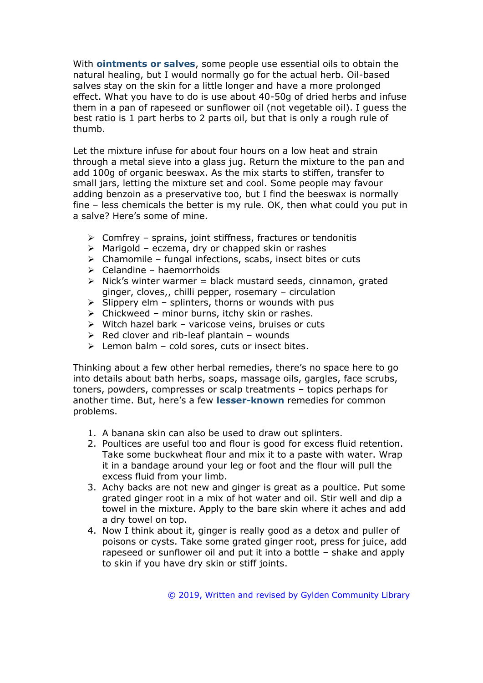With **ointments or salves**, some people use essential oils to obtain the natural healing, but I would normally go for the actual herb. Oil-based salves stay on the skin for a little longer and have a more prolonged effect. What you have to do is use about 40-50g of dried herbs and infuse them in a pan of rapeseed or sunflower oil (not vegetable oil). I guess the best ratio is 1 part herbs to 2 parts oil, but that is only a rough rule of thumb.

Let the mixture infuse for about four hours on a low heat and strain through a metal sieve into a glass jug. Return the mixture to the pan and add 100g of organic beeswax. As the mix starts to stiffen, transfer to small jars, letting the mixture set and cool. Some people may favour adding benzoin as a preservative too, but I find the beeswax is normally fine – less chemicals the better is my rule. OK, then what could you put in a salve? Here's some of mine.

- ➢ Comfrey sprains, joint stiffness, fractures or tendonitis
- $\triangleright$  Marigold eczema, dry or chapped skin or rashes
- $\triangleright$  Chamomile fungal infections, scabs, insect bites or cuts
- $\geq$  Celandine haemorrhoids
- $\triangleright$  Nick's winter warmer = black mustard seeds, cinnamon, grated ginger, cloves,, chilli pepper, rosemary – circulation
- $\triangleright$  Slippery elm splinters, thorns or wounds with pus
- $\triangleright$  Chickweed minor burns, itchy skin or rashes.
- ➢ Witch hazel bark varicose veins, bruises or cuts
- $\triangleright$  Red clover and rib-leaf plantain wounds
- $\triangleright$  Lemon balm cold sores, cuts or insect bites.

Thinking about a few other herbal remedies, there's no space here to go into details about bath herbs, soaps, massage oils, gargles, face scrubs, toners, powders, compresses or scalp treatments – topics perhaps for another time. But, here's a few **lesser-known** remedies for common problems.

- 1. A banana skin can also be used to draw out splinters.
- 2. Poultices are useful too and flour is good for excess fluid retention. Take some buckwheat flour and mix it to a paste with water. Wrap it in a bandage around your leg or foot and the flour will pull the excess fluid from your limb.
- 3. Achy backs are not new and ginger is great as a poultice. Put some grated ginger root in a mix of hot water and oil. Stir well and dip a towel in the mixture. Apply to the bare skin where it aches and add a dry towel on top.
- 4. Now I think about it, ginger is really good as a detox and puller of poisons or cysts. Take some grated ginger root, press for juice, add rapeseed or sunflower oil and put it into a bottle – shake and apply to skin if you have dry skin or stiff joints.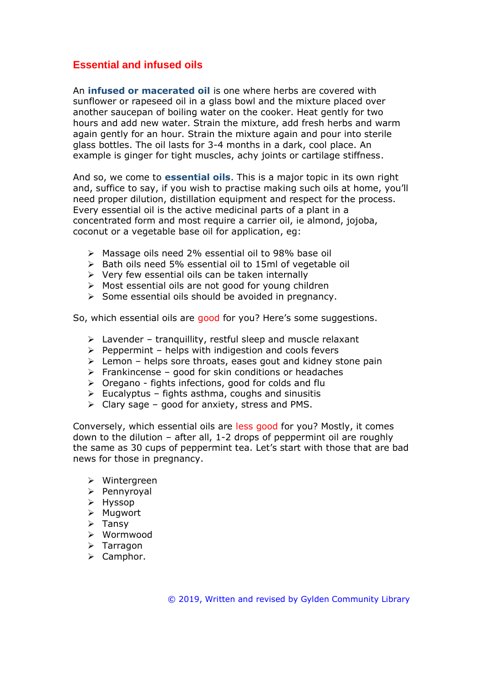### **Essential and infused oils**

An **infused or macerated oil** is one where herbs are covered with sunflower or rapeseed oil in a glass bowl and the mixture placed over another saucepan of boiling water on the cooker. Heat gently for two hours and add new water. Strain the mixture, add fresh herbs and warm again gently for an hour. Strain the mixture again and pour into sterile glass bottles. The oil lasts for 3-4 months in a dark, cool place. An example is ginger for tight muscles, achy joints or cartilage stiffness.

And so, we come to **essential oils**. This is a major topic in its own right and, suffice to say, if you wish to practise making such oils at home, you'll need proper dilution, distillation equipment and respect for the process. Every essential oil is the active medicinal parts of a plant in a concentrated form and most require a carrier oil, ie almond, jojoba, coconut or a vegetable base oil for application, eg:

- ➢ Massage oils need 2% essential oil to 98% base oil
- ➢ Bath oils need 5% essential oil to 15ml of vegetable oil
- $\triangleright$  Very few essential oils can be taken internally
- ➢ Most essential oils are not good for young children
- ➢ Some essential oils should be avoided in pregnancy.

So, which essential oils are good for you? Here's some suggestions.

- $\triangleright$  Lavender tranguillity, restful sleep and muscle relaxant
- $\triangleright$  Peppermint helps with indigestion and cools fevers
- $\triangleright$  Lemon helps sore throats, eases gout and kidney stone pain
- $\triangleright$  Frankincense good for skin conditions or headaches
- $\triangleright$  Oregano fights infections, good for colds and flu
- $\triangleright$  Eucalyptus fights asthma, coughs and sinusitis
- $\triangleright$  Clary sage good for anxiety, stress and PMS.

Conversely, which essential oils are less good for you? Mostly, it comes down to the dilution – after all, 1-2 drops of peppermint oil are roughly the same as 30 cups of peppermint tea. Let's start with those that are bad news for those in pregnancy.

- ➢ Wintergreen
- ➢ Pennyroyal
- ➢ Hyssop
- ➢ Mugwort
- ➢ Tansy
- ➢ Wormwood
- ➢ Tarragon
- ➢ Camphor.